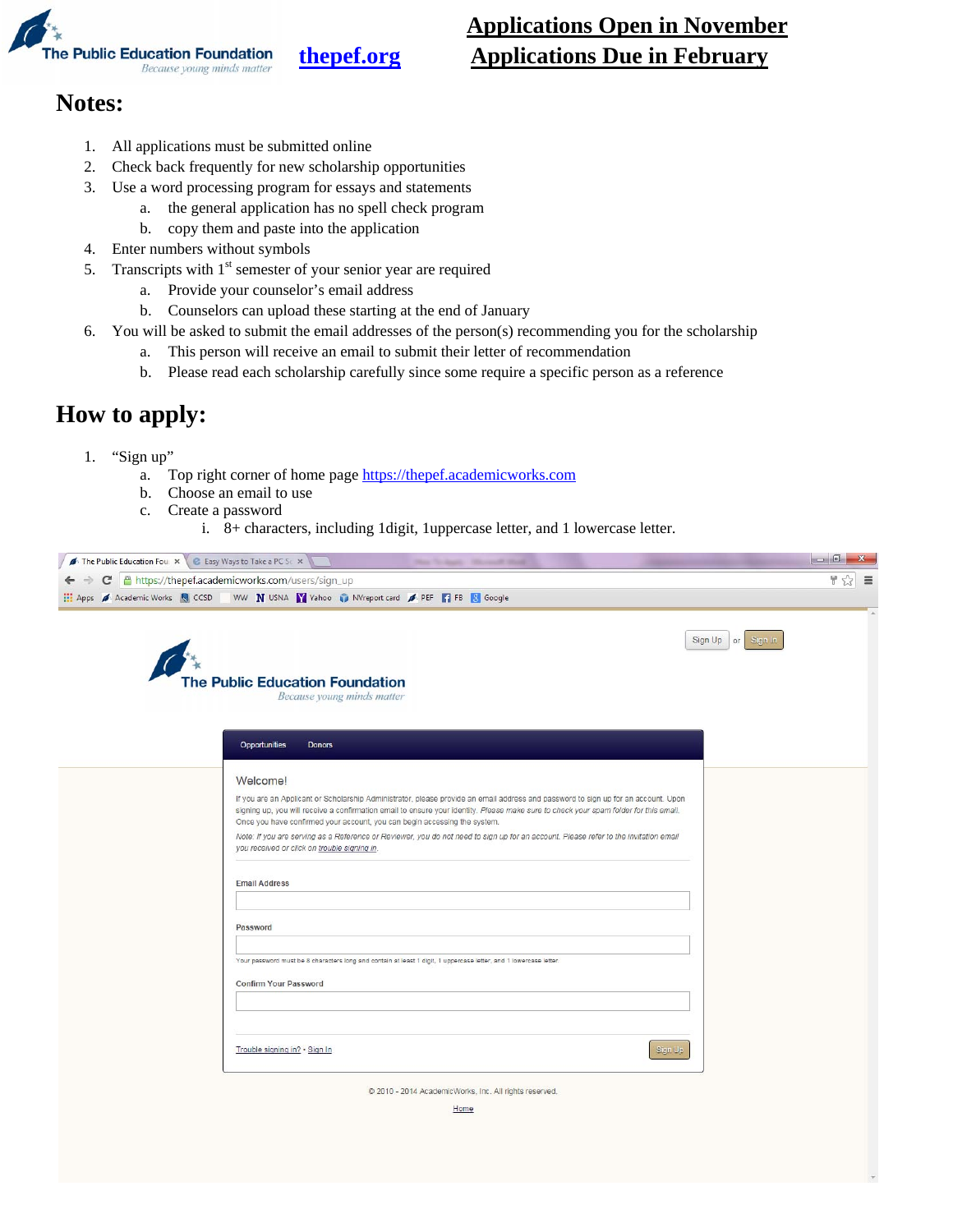

# **Applications Open in November thepef.org Applications Due in February**

## **Notes:**

- 1. All applications must be submitted online
- 2. Check back frequently for new scholarship opportunities
- 3. Use a word processing program for essays and statements
	- a. the general application has no spell check program
	- b. copy them and paste into the application
- 4. Enter numbers without symbols
- 5. Transcripts with  $1<sup>st</sup>$  semester of your senior year are required
	- a. Provide your counselor's email address
	- b. Counselors can upload these starting at the end of January
- 6. You will be asked to submit the email addresses of the person(s) recommending you for the scholarship
	- a. This person will receive an email to submit their letter of recommendation
		- b. Please read each scholarship carefully since some require a specific person as a reference

## **How to apply:**

- 1. "Sign up"
	- a. Top right corner of home page https://thepef.academicworks.com
	- b. Choose an email to use
	- c. Create a password
		- i. 8+ characters, including 1digit, 1uppercase letter, and 1 lowercase letter.

| The Public Education Four x E Easy Ways to Take a PC Sc x | The Today, Home Road,                                                                                                                                                                                                                                                                                                                                                                                                                                                                                                                            |                               |
|-----------------------------------------------------------|--------------------------------------------------------------------------------------------------------------------------------------------------------------------------------------------------------------------------------------------------------------------------------------------------------------------------------------------------------------------------------------------------------------------------------------------------------------------------------------------------------------------------------------------------|-------------------------------|
| ← → C   A https://thepef.academicworks.com/users/sign_up  |                                                                                                                                                                                                                                                                                                                                                                                                                                                                                                                                                  | $\frac{1}{2}$ $\frac{1}{2}$ = |
|                                                           | Apps A Academic Works Q CCSD WW N USNA Y Vahoo N Wreport card A PEF T FB & Google                                                                                                                                                                                                                                                                                                                                                                                                                                                                |                               |
|                                                           | Sign Up or Sign In<br><b>The Public Education Foundation</b><br>Because young minds matter                                                                                                                                                                                                                                                                                                                                                                                                                                                       |                               |
|                                                           | Opportunities<br><b>Donors</b>                                                                                                                                                                                                                                                                                                                                                                                                                                                                                                                   |                               |
|                                                           | Welcome!                                                                                                                                                                                                                                                                                                                                                                                                                                                                                                                                         |                               |
|                                                           | If you are an Applicant or Scholarship Administrator, please provide an email address and password to sign up for an account. Upon<br>signing up, you will receive a confirmation email to ensure your identity. Please make sure to check your spam folder for this email.<br>Once you have confirmed your account, you can begin accessing the system.<br>Note: If you are serving as a Reference or Reviewer, you do not need to sign up for an account. Please refer to the invitation email<br>you received or click on trouble signing in. |                               |
|                                                           | <b>Email Address</b>                                                                                                                                                                                                                                                                                                                                                                                                                                                                                                                             |                               |
|                                                           | Password                                                                                                                                                                                                                                                                                                                                                                                                                                                                                                                                         |                               |
|                                                           | Your password must be 8 characters long and contain at least 1 digit, 1 uppercase letter, and 1 lowercase letter.<br><b>Confirm Your Password</b>                                                                                                                                                                                                                                                                                                                                                                                                |                               |
|                                                           | Trouble signing in? . Sign In<br>Sign Up                                                                                                                                                                                                                                                                                                                                                                                                                                                                                                         |                               |
|                                                           | @ 2010 - 2014 AcademicWorks, Inc. All rights reserved.                                                                                                                                                                                                                                                                                                                                                                                                                                                                                           |                               |
|                                                           | Home                                                                                                                                                                                                                                                                                                                                                                                                                                                                                                                                             |                               |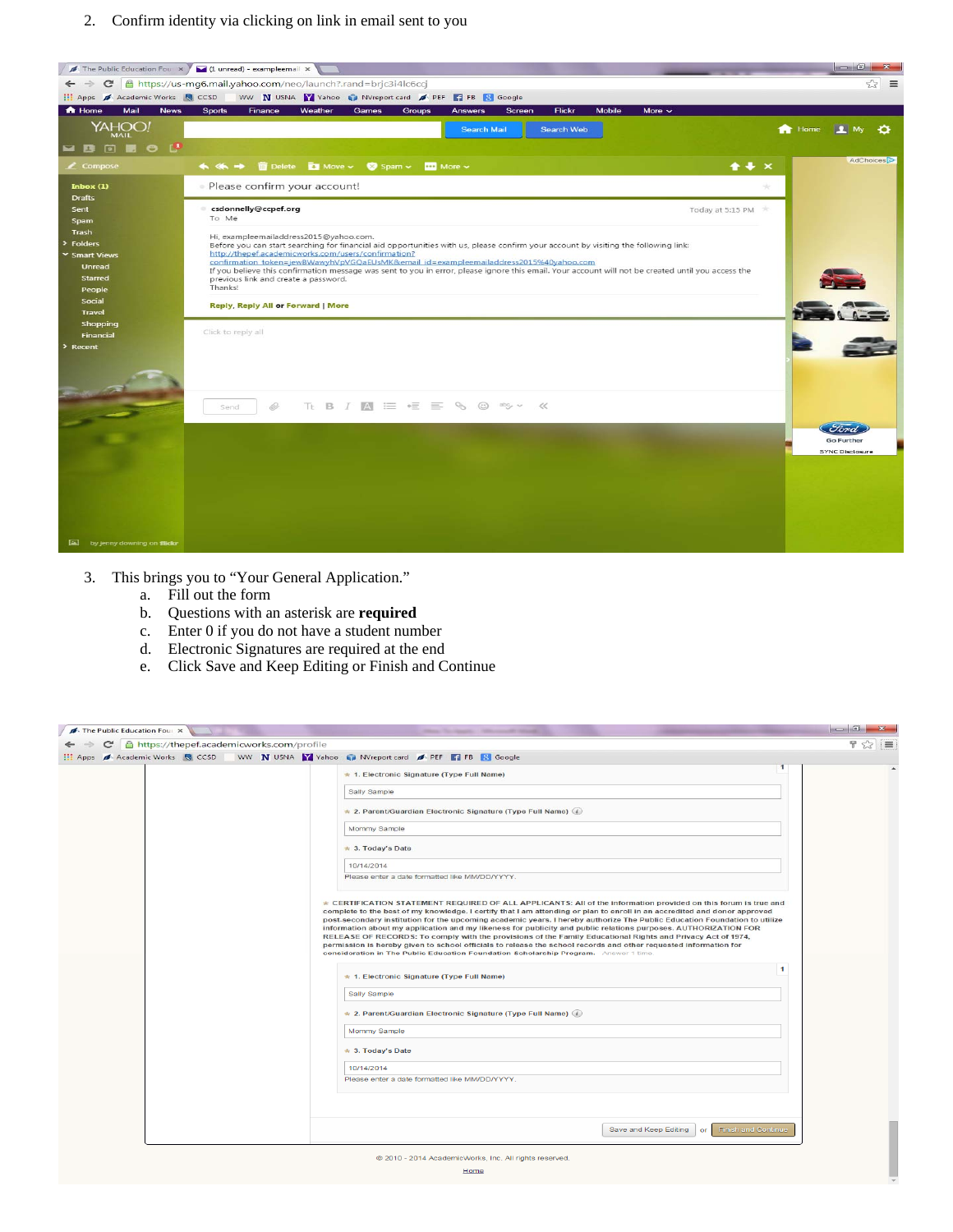2. Confirm identity via clicking on link in email sent to you



- 3. This brings you to "Your General Application."
	- a. Fill out the form
	- b. Questions with an asterisk are **required**
	- c. Enter 0 if you do not have a student number
	- d. Electronic Signatures are required at the end
	- e. Click Save and Keep Editing or Finish and Continue

| The Public Education Four X                                                                                | These The Applies - Millersmooth Streets                                                                                                                                                                                                                                                                                                                                                                                                                                                                                                                                                                                                                                                                                                                                                                                  |        |
|------------------------------------------------------------------------------------------------------------|---------------------------------------------------------------------------------------------------------------------------------------------------------------------------------------------------------------------------------------------------------------------------------------------------------------------------------------------------------------------------------------------------------------------------------------------------------------------------------------------------------------------------------------------------------------------------------------------------------------------------------------------------------------------------------------------------------------------------------------------------------------------------------------------------------------------------|--------|
| → C A https://thepef.academicworks.com/profile                                                             |                                                                                                                                                                                                                                                                                                                                                                                                                                                                                                                                                                                                                                                                                                                                                                                                                           | $72 =$ |
| <b>EE</b> Apps A Academic Works <b>Q</b> CCSD WW <b>N</b> USNA Y Yahoo C NVreport card A PEF T FB & Google |                                                                                                                                                                                                                                                                                                                                                                                                                                                                                                                                                                                                                                                                                                                                                                                                                           |        |
|                                                                                                            | $\mathbf{1}$<br>* 1. Electronic Signature (Type Full Name)                                                                                                                                                                                                                                                                                                                                                                                                                                                                                                                                                                                                                                                                                                                                                                |        |
|                                                                                                            | Sally Sample                                                                                                                                                                                                                                                                                                                                                                                                                                                                                                                                                                                                                                                                                                                                                                                                              |        |
|                                                                                                            | * 2. Parent/Guardian Electronic Signature (Type Full Name) (i)                                                                                                                                                                                                                                                                                                                                                                                                                                                                                                                                                                                                                                                                                                                                                            |        |
|                                                                                                            | Mommy Sample                                                                                                                                                                                                                                                                                                                                                                                                                                                                                                                                                                                                                                                                                                                                                                                                              |        |
|                                                                                                            | * 3. Today's Date                                                                                                                                                                                                                                                                                                                                                                                                                                                                                                                                                                                                                                                                                                                                                                                                         |        |
|                                                                                                            | 10/14/2014                                                                                                                                                                                                                                                                                                                                                                                                                                                                                                                                                                                                                                                                                                                                                                                                                |        |
|                                                                                                            | Please enter a date formatted like MM/DD/YYYY.                                                                                                                                                                                                                                                                                                                                                                                                                                                                                                                                                                                                                                                                                                                                                                            |        |
|                                                                                                            | * CERTIFICATION STATEMENT REQUIRED OF ALL APPLICANTS: All of the information provided on this forum is true and<br>complete to the best of my knowledge. I certify that I am attending or plan to enroll in an accredited and donor approved<br>post-secondary institution for the upcoming academic years. I hereby authorize The Public Education Foundation to utilize<br>information about my application and my likeness for publicity and public relations purposes. AUTHORIZATION FOR<br>RELEASE OF RECORDS: To comply with the provisions of the Family Educational Rights and Privacy Act of 1974,<br>permission is hereby given to school officials to release the school records and other requested information for<br>consideration in The Public Education Foundation Scholarship Program. - Answer 1 time. |        |
|                                                                                                            | $\mathbf{1}$<br>* 1. Electronic Signature (Type Full Name)                                                                                                                                                                                                                                                                                                                                                                                                                                                                                                                                                                                                                                                                                                                                                                |        |
|                                                                                                            | Sally Sample                                                                                                                                                                                                                                                                                                                                                                                                                                                                                                                                                                                                                                                                                                                                                                                                              |        |
|                                                                                                            | $\star$ 2. Parent/Guardian Electronic Signature (Type Full Name) (i)                                                                                                                                                                                                                                                                                                                                                                                                                                                                                                                                                                                                                                                                                                                                                      |        |
|                                                                                                            | Mommy Sample                                                                                                                                                                                                                                                                                                                                                                                                                                                                                                                                                                                                                                                                                                                                                                                                              |        |
|                                                                                                            | * 3. Today's Date                                                                                                                                                                                                                                                                                                                                                                                                                                                                                                                                                                                                                                                                                                                                                                                                         |        |
|                                                                                                            | 10/14/2014                                                                                                                                                                                                                                                                                                                                                                                                                                                                                                                                                                                                                                                                                                                                                                                                                |        |
|                                                                                                            | Please enter a date formatted like MM/DD/YYYY.                                                                                                                                                                                                                                                                                                                                                                                                                                                                                                                                                                                                                                                                                                                                                                            |        |
|                                                                                                            |                                                                                                                                                                                                                                                                                                                                                                                                                                                                                                                                                                                                                                                                                                                                                                                                                           |        |
|                                                                                                            | Save and Keep Editing<br><b>Finish and Continue</b><br>or                                                                                                                                                                                                                                                                                                                                                                                                                                                                                                                                                                                                                                                                                                                                                                 |        |
|                                                                                                            | @ 2010 - 2014 AcademicWorks, Inc. All rights reserved                                                                                                                                                                                                                                                                                                                                                                                                                                                                                                                                                                                                                                                                                                                                                                     |        |
|                                                                                                            | Home                                                                                                                                                                                                                                                                                                                                                                                                                                                                                                                                                                                                                                                                                                                                                                                                                      |        |